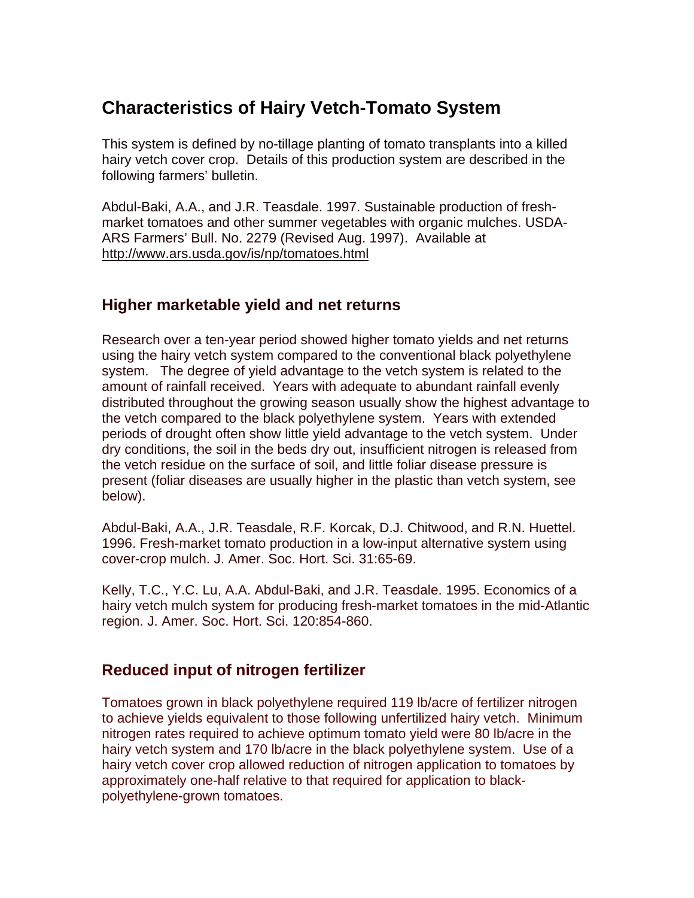# **Characteristics of Hairy Vetch-Tomato System**

This system is defined by no-tillage planting of tomato transplants into a killed hairy vetch cover crop. Details of this production system are described in the following farmers' bulletin.

Abdul-Baki, A.A., and J.R. Teasdale. 1997. Sustainable production of freshmarket tomatoes and other summer vegetables with organic mulches. USDA-ARS Farmers' Bull. No. 2279 (Revised Aug. 1997). Available at http://www.ars.usda.gov/is/np/tomatoes.html

## **Higher marketable yield and net returns**

Research over a ten-year period showed higher tomato yields and net returns using the hairy vetch system compared to the conventional black polyethylene system. The degree of yield advantage to the vetch system is related to the amount of rainfall received. Years with adequate to abundant rainfall evenly distributed throughout the growing season usually show the highest advantage to the vetch compared to the black polyethylene system. Years with extended periods of drought often show little yield advantage to the vetch system. Under dry conditions, the soil in the beds dry out, insufficient nitrogen is released from the vetch residue on the surface of soil, and little foliar disease pressure is present (foliar diseases are usually higher in the plastic than vetch system, see below).

Abdul-Baki, A.A., J.R. Teasdale, R.F. Korcak, D.J. Chitwood, and R.N. Huettel. 1996. Fresh-market tomato production in a low-input alternative system using cover-crop mulch. J. Amer. Soc. Hort. Sci. 31:65-69.

Kelly, T.C., Y.C. Lu, A.A. Abdul-Baki, and J.R. Teasdale. 1995. Economics of a hairy vetch mulch system for producing fresh-market tomatoes in the mid-Atlantic region. J. Amer. Soc. Hort. Sci. 120:854-860.

## **Reduced input of nitrogen fertilizer**

Tomatoes grown in black polyethylene required 119 lb/acre of fertilizer nitrogen to achieve yields equivalent to those following unfertilized hairy vetch. Minimum nitrogen rates required to achieve optimum tomato yield were 80 lb/acre in the hairy vetch system and 170 lb/acre in the black polyethylene system. Use of a hairy vetch cover crop allowed reduction of nitrogen application to tomatoes by approximately one-half relative to that required for application to blackpolyethylene-grown tomatoes.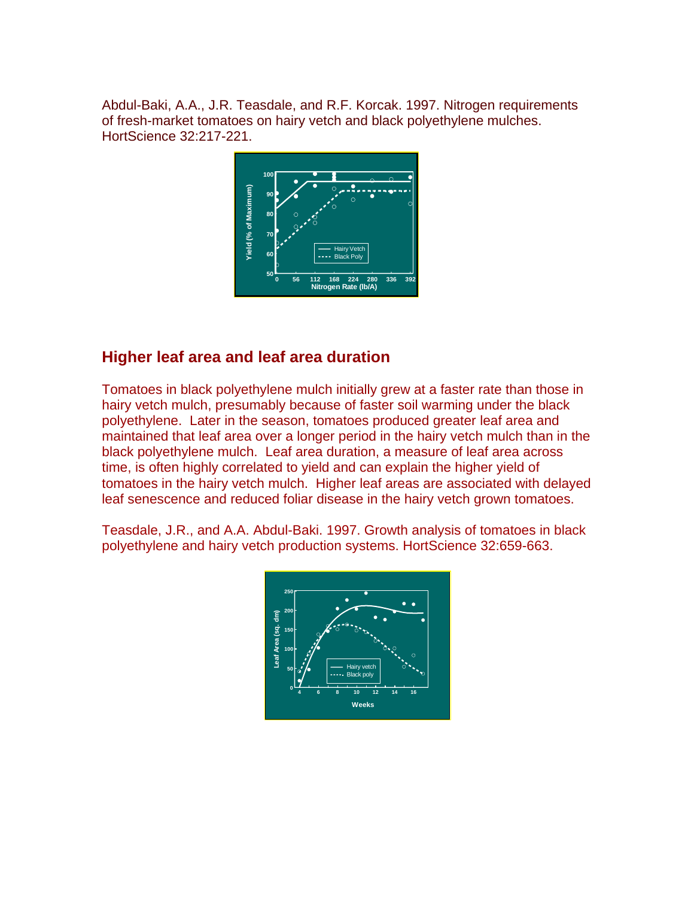Abdul-Baki, A.A., J.R. Teasdale, and R.F. Korcak. 1997. Nitrogen requirements of fresh-market tomatoes on hairy vetch and black polyethylene mulches. HortScience 32:217-221.



## **Higher leaf area and leaf area duration**

Tomatoes in black polyethylene mulch initially grew at a faster rate than those in hairy vetch mulch, presumably because of faster soil warming under the black polyethylene. Later in the season, tomatoes produced greater leaf area and maintained that leaf area over a longer period in the hairy vetch mulch than in the black polyethylene mulch. Leaf area duration, a measure of leaf area across time, is often highly correlated to yield and can explain the higher yield of tomatoes in the hairy vetch mulch. Higher leaf areas are associated with delayed leaf senescence and reduced foliar disease in the hairy vetch grown tomatoes.

Teasdale, J.R., and A.A. Abdul-Baki. 1997. Growth analysis of tomatoes in black polyethylene and hairy vetch production systems. HortScience 32:659-663.

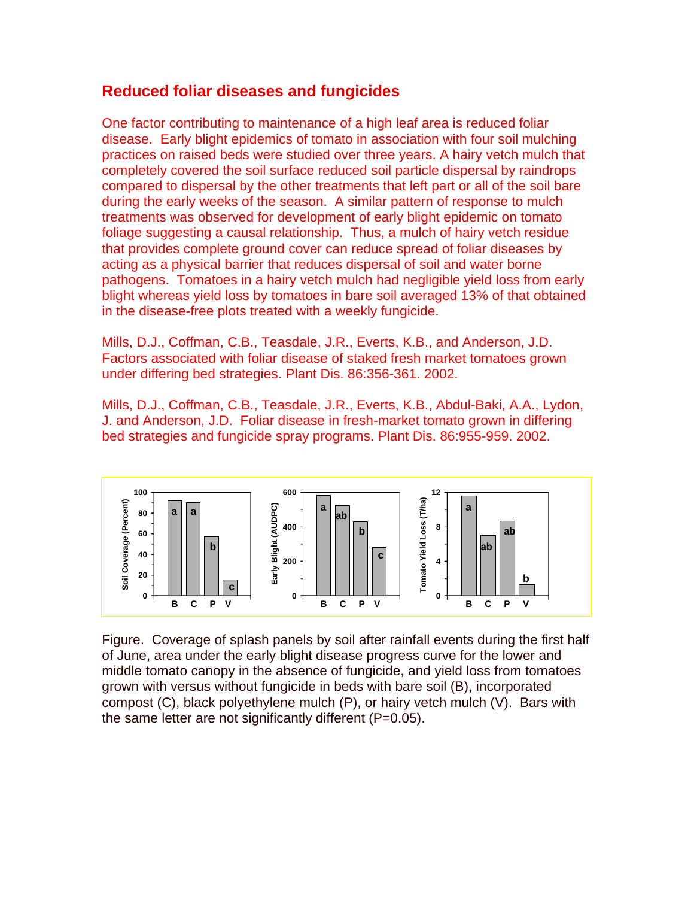#### **Reduced foliar diseases and fungicides**

One factor contributing to maintenance of a high leaf area is reduced foliar disease. Early blight epidemics of tomato in association with four soil mulching practices on raised beds were studied over three years. A hairy vetch mulch that completely covered the soil surface reduced soil particle dispersal by raindrops compared to dispersal by the other treatments that left part or all of the soil bare during the early weeks of the season. A similar pattern of response to mulch treatments was observed for development of early blight epidemic on tomato foliage suggesting a causal relationship. Thus, a mulch of hairy vetch residue that provides complete ground cover can reduce spread of foliar diseases by acting as a physical barrier that reduces dispersal of soil and water borne pathogens. Tomatoes in a hairy vetch mulch had negligible yield loss from early blight whereas yield loss by tomatoes in bare soil averaged 13% of that obtained in the disease-free plots treated with a weekly fungicide.

Mills, D.J., Coffman, C.B., Teasdale, J.R., Everts, K.B., and Anderson, J.D. Factors associated with foliar disease of staked fresh market tomatoes grown under differing bed strategies. Plant Dis. 86:356-361. 2002.

Mills, D.J., Coffman, C.B., Teasdale, J.R., Everts, K.B., Abdul-Baki, A.A., Lydon, J. and Anderson, J.D. Foliar disease in fresh-market tomato grown in differing bed strategies and fungicide spray programs. Plant Dis. 86:955-959. 2002.



Figure. Coverage of splash panels by soil after rainfall events during the first half of June, area under the early blight disease progress curve for the lower and middle tomato canopy in the absence of fungicide, and yield loss from tomatoes grown with versus without fungicide in beds with bare soil (B), incorporated compost (C), black polyethylene mulch (P), or hairy vetch mulch (V). Bars with the same letter are not significantly different (P=0.05).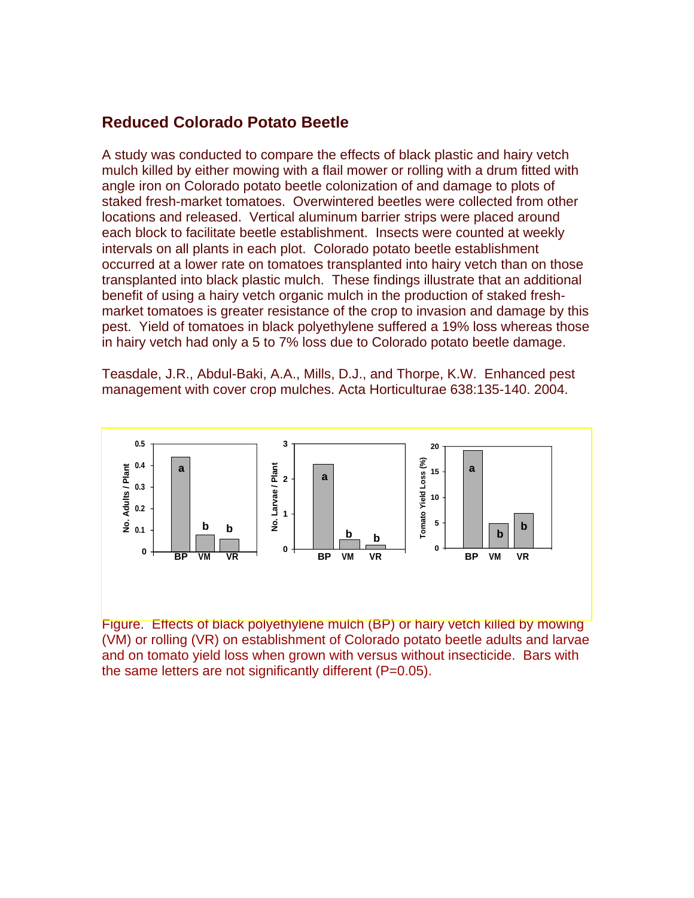#### **Reduced Colorado Potato Beetle**

A study was conducted to compare the effects of black plastic and hairy vetch mulch killed by either mowing with a flail mower or rolling with a drum fitted with angle iron on Colorado potato beetle colonization of and damage to plots of staked fresh-market tomatoes. Overwintered beetles were collected from other locations and released. Vertical aluminum barrier strips were placed around each block to facilitate beetle establishment. Insects were counted at weekly intervals on all plants in each plot. Colorado potato beetle establishment occurred at a lower rate on tomatoes transplanted into hairy vetch than on those transplanted into black plastic mulch. These findings illustrate that an additional benefit of using a hairy vetch organic mulch in the production of staked freshmarket tomatoes is greater resistance of the crop to invasion and damage by this pest. Yield of tomatoes in black polyethylene suffered a 19% loss whereas those in hairy vetch had only a 5 to 7% loss due to Colorado potato beetle damage.

Teasdale, J.R., Abdul-Baki, A.A., Mills, D.J., and Thorpe, K.W. Enhanced pest management with cover crop mulches. Acta Horticulturae 638:135-140. 2004.



Figure. Effects of black polyethylene mulch (BP) or hairy vetch killed by mowing (VM) or rolling (VR) on establishment of Colorado potato beetle adults and larvae and on tomato yield loss when grown with versus without insecticide. Bars with the same letters are not significantly different (P=0.05).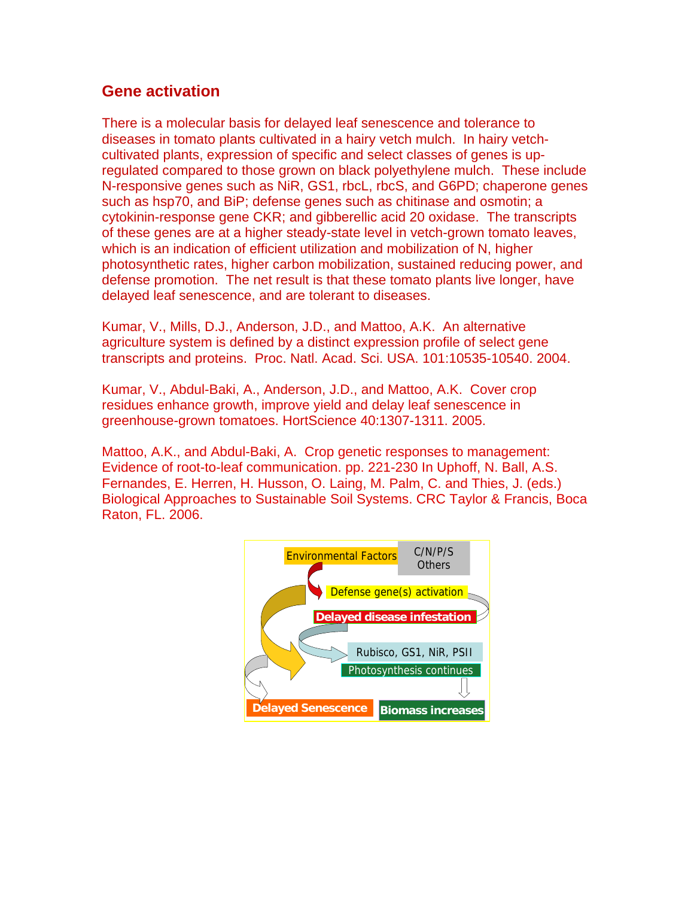### **Gene activation**

There is a molecular basis for delayed leaf senescence and tolerance to diseases in tomato plants cultivated in a hairy vetch mulch. In hairy vetchcultivated plants, expression of specific and select classes of genes is upregulated compared to those grown on black polyethylene mulch. These include N-responsive genes such as NiR, GS1, rbcL, rbcS, and G6PD; chaperone genes such as hsp70, and BiP; defense genes such as chitinase and osmotin; a cytokinin-response gene CKR; and gibberellic acid 20 oxidase. The transcripts of these genes are at a higher steady-state level in vetch-grown tomato leaves, which is an indication of efficient utilization and mobilization of N, higher photosynthetic rates, higher carbon mobilization, sustained reducing power, and defense promotion. The net result is that these tomato plants live longer, have delayed leaf senescence, and are tolerant to diseases.

Kumar, V., Mills, D.J., Anderson, J.D., and Mattoo, A.K. An alternative agriculture system is defined by a distinct expression profile of select gene transcripts and proteins. Proc. Natl. Acad. Sci. USA. 101:10535-10540. 2004.

Kumar, V., Abdul-Baki, A., Anderson, J.D., and Mattoo, A.K. Cover crop residues enhance growth, improve yield and delay leaf senescence in greenhouse-grown tomatoes. HortScience 40:1307-1311. 2005.

Mattoo, A.K., and Abdul-Baki, A. Crop genetic responses to management: Evidence of root-to-leaf communication. pp. 221-230 In Uphoff, N. Ball, A.S. Fernandes, E. Herren, H. Husson, O. Laing, M. Palm, C. and Thies, J. (eds.) Biological Approaches to Sustainable Soil Systems. CRC Taylor & Francis, Boca Raton, FL. 2006.